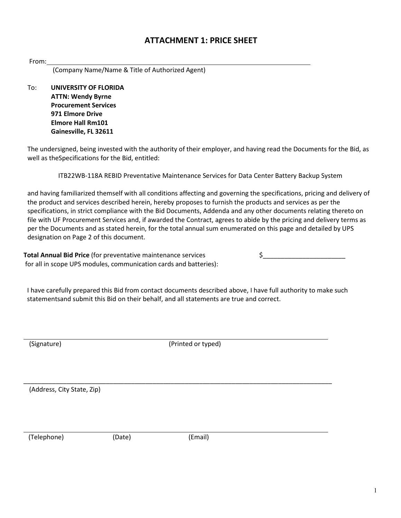## **ATTACHMENT 1: PRICE SHEET**

| nm | ı |  |
|----|---|--|
|    |   |  |
|    |   |  |

(Company Name/Name & Title of Authorized Agent)

To: **UNIVERSITY OF FLORIDA ATTN: Wendy Byrne Procurement Services 971 Elmore Drive Elmore Hall Rm101 Gainesville, FL 32611**

The undersigned, being invested with the authority of their employer, and having read the Documents for the Bid, as well as theSpecifications for the Bid, entitled:

ITB22WB-118A REBID Preventative Maintenance Services for Data Center Battery Backup System

and having familiarized themself with all conditions affecting and governing the specifications, pricing and delivery of the product and services described herein, hereby proposes to furnish the products and services as per the specifications, in strict compliance with the Bid Documents, Addenda and any other documents relating thereto on file with UF Procurement Services and, if awarded the Contract, agrees to abide by the pricing and delivery terms as per the Documents and as stated herein, for the total annual sum enumerated on this page and detailed by UPS designation on Page 2 of this document.

**Total Annual Bid Price** (for preventative maintenance services  $\zeta$ for all in scope UPS modules, communication cards and batteries):

I have carefully prepared this Bid from contact documents described above, I have full authority to make such statementsand submit this Bid on their behalf, and all statements are true and correct.

(Signature) (Signature) (Printed or typed)

\_\_\_\_\_\_\_\_\_\_\_\_\_\_\_\_\_\_\_\_\_\_\_\_\_\_\_\_\_\_\_\_\_\_\_\_\_\_\_\_\_\_\_\_\_\_\_\_\_\_\_\_\_\_\_\_\_\_\_\_\_\_\_\_\_\_\_\_\_\_\_\_\_\_\_\_\_\_\_\_\_\_\_\_\_\_

(Address, City State, Zip)

(Telephone) (Date) (Email)